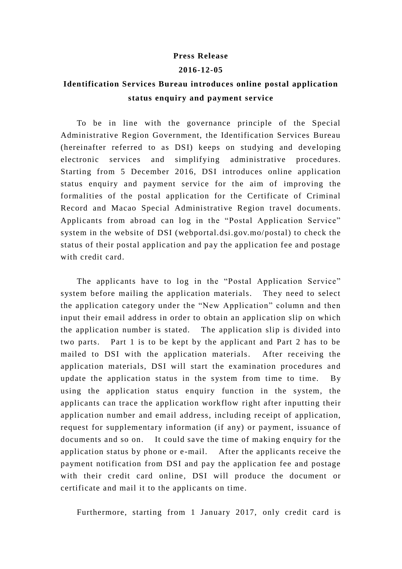## **Press Release**

## **2016-12-05**

## **Identification Services Bureau introduces online postal application status enquiry and payment service**

To be in line with the governance principle of the Special Administrative Region Government, the Identification Services Bureau (hereinafter referred to as DSI) keeps on studying and developing electronic services and simplifying administrative procedures. Starting from 5 December 2016, DSI introduces online application status enquiry and payment service for the aim of improving the formalities of the postal application for the Certificate of Criminal Record and Macao Special Administrative Region travel documents. Applicants from abroad can log in the "Postal Application Service" system in the website of DSI (webportal.dsi.gov.mo/postal) to check the status of their postal application and pay the application fee and postage with credit card.

The applicants have to log in the "Postal Application Service" system before mailing the application materials. They need to select the application category under the "New Application" column and then input their email address in order to obtain an application slip on which the application number is stated. The application slip is divided into two parts. Part 1 is to be kept by the applicant and Part 2 has to be mailed to DSI with the application materials. After receiving the application materials, DSI will start the examination procedures and update the application status in the system from time to time. By using the application status enquiry function in the system, the applicants can trace the application workflow right after inputting their application number and email address, including receipt of application, request for supplementary information (if any) or payment, issuance of documents and so on. It could save the time of making enquiry for the application status by phone or e -mail. After the applicants receive the payment notification from DSI and pay the application fee and postage with their credit card online, DSI will produce the document or certificate and mail it to the applicants on time.

Furthermore, starting from 1 January 2017, only credit card is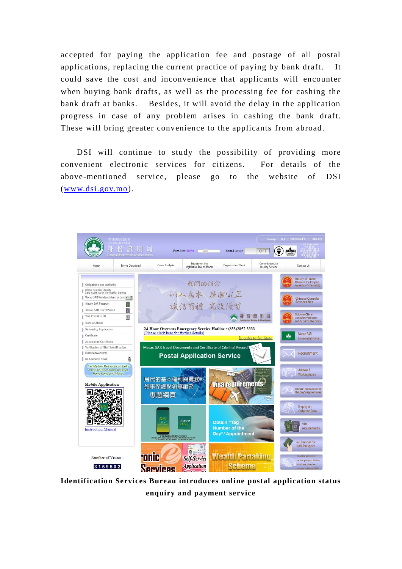accepted for paying the application fee and postage of all postal applications, replacing the current practice of paying by bank draft. It could save the cost and inconvenience that applicants will encounter when buying bank drafts, as well as the processing fee for cashing the bank draft at banks. Besides, it will avoid the delay in the application progress in case of any problem arises in cashing the bank draft. These will bring greater convenience to the applicants from abroad.

DSI will continue to study the possibility of providing more convenient electronic services for citizens. For details of the above-mentioned service, please go to the website of DSI [\(www.dsi.gov.mo\)](http://www.dsi.gov.mo/).



**Identification Services Bureau introduces online postal application status enquiry and payment service**